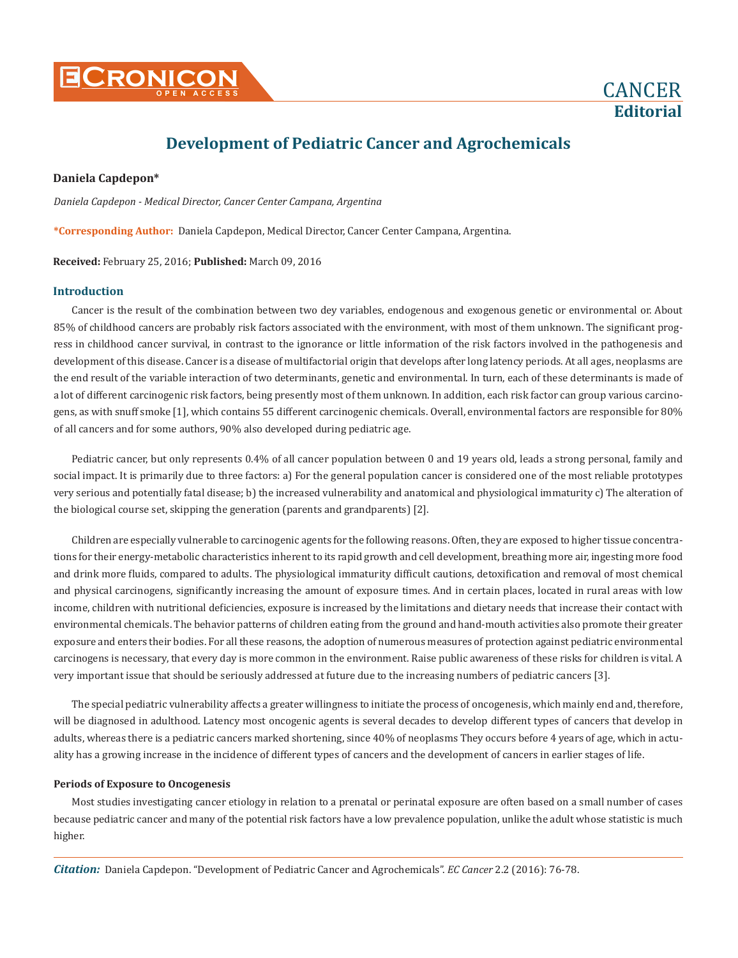



# **Development of Pediatric Cancer and Agrochemicals**

## **Daniela Capdepon\***

*Daniela Capdepon - Medical Director, Cancer Center Campana, Argentina*

**\*Corresponding Author:** Daniela Capdepon, Medical Director, Cancer Center Campana, Argentina.

**Received:** February 25, 2016; **Published:** March 09, 2016

## **Introduction**

Cancer is the result of the combination between two dey variables, endogenous and exogenous genetic or environmental or. About 85% of childhood cancers are probably risk factors associated with the environment, with most of them unknown. The significant progress in childhood cancer survival, in contrast to the ignorance or little information of the risk factors involved in the pathogenesis and development of this disease. Cancer is a disease of multifactorial origin that develops after long latency periods. At all ages, neoplasms are the end result of the variable interaction of two determinants, genetic and environmental. In turn, each of these determinants is made of a lot of different carcinogenic risk factors, being presently most of them unknown. In addition, each risk factor can group various carcinogens, as with snuff smoke [1], which contains 55 different carcinogenic chemicals. Overall, environmental factors are responsible for 80% of all cancers and for some authors, 90% also developed during pediatric age.

Pediatric cancer, but only represents 0.4% of all cancer population between 0 and 19 years old, leads a strong personal, family and social impact. It is primarily due to three factors: a) For the general population cancer is considered one of the most reliable prototypes very serious and potentially fatal disease; b) the increased vulnerability and anatomical and physiological immaturity c) The alteration of the biological course set, skipping the generation (parents and grandparents) [2].

Children are especially vulnerable to carcinogenic agents for the following reasons. Often, they are exposed to higher tissue concentrations for their energy-metabolic characteristics inherent to its rapid growth and cell development, breathing more air, ingesting more food and drink more fluids, compared to adults. The physiological immaturity difficult cautions, detoxification and removal of most chemical and physical carcinogens, significantly increasing the amount of exposure times. And in certain places, located in rural areas with low income, children with nutritional deficiencies, exposure is increased by the limitations and dietary needs that increase their contact with environmental chemicals. The behavior patterns of children eating from the ground and hand-mouth activities also promote their greater exposure and enters their bodies. For all these reasons, the adoption of numerous measures of protection against pediatric environmental carcinogens is necessary, that every day is more common in the environment. Raise public awareness of these risks for children is vital. A very important issue that should be seriously addressed at future due to the increasing numbers of pediatric cancers [3].

The special pediatric vulnerability affects a greater willingness to initiate the process of oncogenesis, which mainly end and, therefore, will be diagnosed in adulthood. Latency most oncogenic agents is several decades to develop different types of cancers that develop in adults, whereas there is a pediatric cancers marked shortening, since 40% of neoplasms They occurs before 4 years of age, which in actuality has a growing increase in the incidence of different types of cancers and the development of cancers in earlier stages of life.

#### **Periods of Exposure to Oncogenesis**

Most studies investigating cancer etiology in relation to a prenatal or perinatal exposure are often based on a small number of cases because pediatric cancer and many of the potential risk factors have a low prevalence population, unlike the adult whose statistic is much higher.

*Citation:* Daniela Capdepon. "Development of Pediatric Cancer and Agrochemicals". *EC Cancer* 2.2 (2016): 76-78.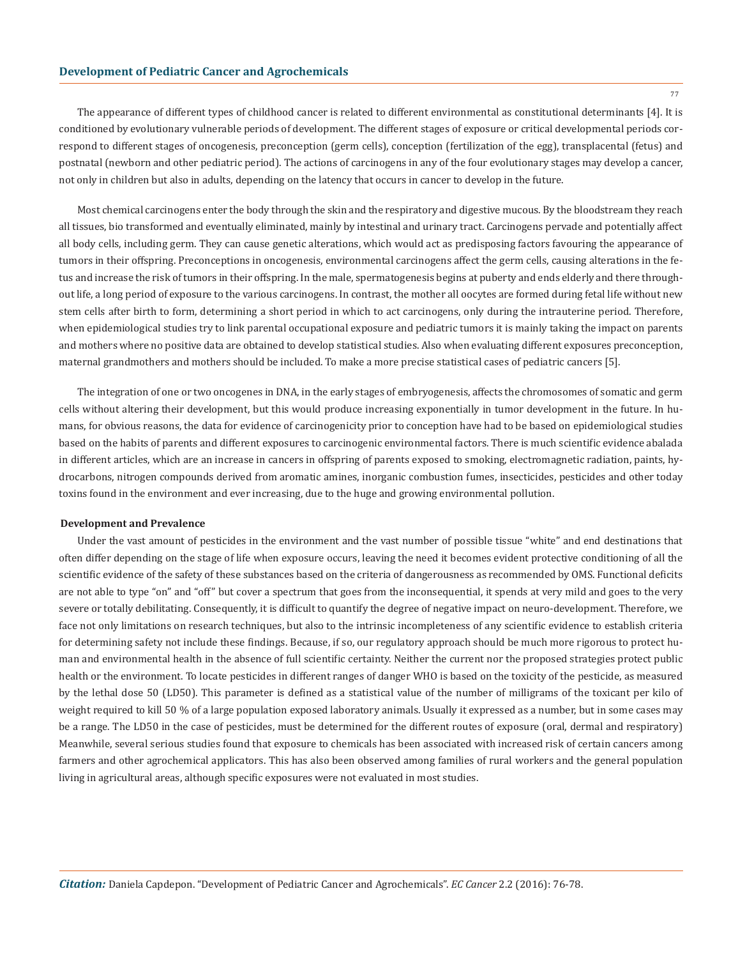### **Development of Pediatric Cancer and Agrochemicals**

The appearance of different types of childhood cancer is related to different environmental as constitutional determinants [4]. It is conditioned by evolutionary vulnerable periods of development. The different stages of exposure or critical developmental periods correspond to different stages of oncogenesis, preconception (germ cells), conception (fertilization of the egg), transplacental (fetus) and postnatal (newborn and other pediatric period). The actions of carcinogens in any of the four evolutionary stages may develop a cancer, not only in children but also in adults, depending on the latency that occurs in cancer to develop in the future.

Most chemical carcinogens enter the body through the skin and the respiratory and digestive mucous. By the bloodstream they reach all tissues, bio transformed and eventually eliminated, mainly by intestinal and urinary tract. Carcinogens pervade and potentially affect all body cells, including germ. They can cause genetic alterations, which would act as predisposing factors favouring the appearance of tumors in their offspring. Preconceptions in oncogenesis, environmental carcinogens affect the germ cells, causing alterations in the fetus and increase the risk of tumors in their offspring. In the male, spermatogenesis begins at puberty and ends elderly and there throughout life, a long period of exposure to the various carcinogens. In contrast, the mother all oocytes are formed during fetal life without new stem cells after birth to form, determining a short period in which to act carcinogens, only during the intrauterine period. Therefore, when epidemiological studies try to link parental occupational exposure and pediatric tumors it is mainly taking the impact on parents and mothers where no positive data are obtained to develop statistical studies. Also when evaluating different exposures preconception, maternal grandmothers and mothers should be included. To make a more precise statistical cases of pediatric cancers [5].

The integration of one or two oncogenes in DNA, in the early stages of embryogenesis, affects the chromosomes of somatic and germ cells without altering their development, but this would produce increasing exponentially in tumor development in the future. In humans, for obvious reasons, the data for evidence of carcinogenicity prior to conception have had to be based on epidemiological studies based on the habits of parents and different exposures to carcinogenic environmental factors. There is much scientific evidence abalada in different articles, which are an increase in cancers in offspring of parents exposed to smoking, electromagnetic radiation, paints, hydrocarbons, nitrogen compounds derived from aromatic amines, inorganic combustion fumes, insecticides, pesticides and other today toxins found in the environment and ever increasing, due to the huge and growing environmental pollution.

#### **Development and Prevalence**

Under the vast amount of pesticides in the environment and the vast number of possible tissue "white" and end destinations that often differ depending on the stage of life when exposure occurs, leaving the need it becomes evident protective conditioning of all the scientific evidence of the safety of these substances based on the criteria of dangerousness as recommended by OMS. Functional deficits are not able to type "on" and "off" but cover a spectrum that goes from the inconsequential, it spends at very mild and goes to the very severe or totally debilitating. Consequently, it is difficult to quantify the degree of negative impact on neuro-development. Therefore, we face not only limitations on research techniques, but also to the intrinsic incompleteness of any scientific evidence to establish criteria for determining safety not include these findings. Because, if so, our regulatory approach should be much more rigorous to protect human and environmental health in the absence of full scientific certainty. Neither the current nor the proposed strategies protect public health or the environment. To locate pesticides in different ranges of danger WHO is based on the toxicity of the pesticide, as measured by the lethal dose 50 (LD50). This parameter is defined as a statistical value of the number of milligrams of the toxicant per kilo of weight required to kill 50 % of a large population exposed laboratory animals. Usually it expressed as a number, but in some cases may be a range. The LD50 in the case of pesticides, must be determined for the different routes of exposure (oral, dermal and respiratory) Meanwhile, several serious studies found that exposure to chemicals has been associated with increased risk of certain cancers among farmers and other agrochemical applicators. This has also been observed among families of rural workers and the general population living in agricultural areas, although specific exposures were not evaluated in most studies.

77